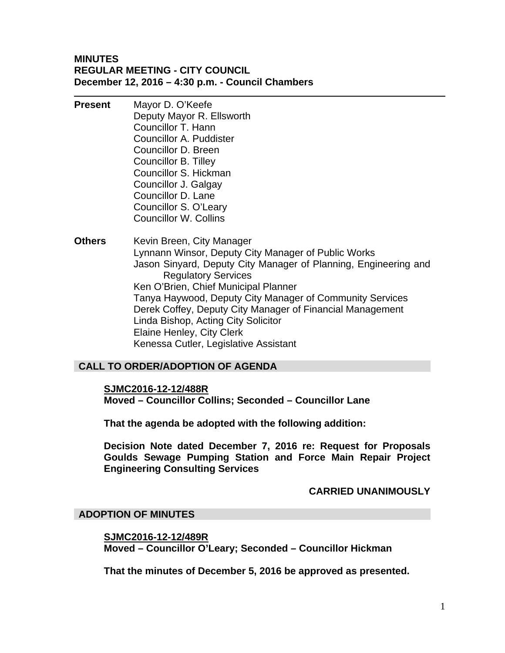#### **MINUTES REGULAR MEETING - CITY COUNCIL December 12, 2016 – 4:30 p.m. - Council Chambers**

- **Present** Mayor D. O'Keefe Deputy Mayor R. Ellsworth Councillor T. Hann Councillor A. Puddister Councillor D. Breen Councillor B. Tilley Councillor S. Hickman Councillor J. Galgay Councillor D. Lane Councillor S. O'Leary Councillor W. Collins
- **Others** Kevin Breen, City Manager Lynnann Winsor, Deputy City Manager of Public Works Jason Sinyard, Deputy City Manager of Planning, Engineering and Regulatory Services Ken O'Brien, Chief Municipal Planner Tanya Haywood, Deputy City Manager of Community Services Derek Coffey, Deputy City Manager of Financial Management Linda Bishop, Acting City Solicitor Elaine Henley, City Clerk Kenessa Cutler, Legislative Assistant

# **CALL TO ORDER/ADOPTION OF AGENDA**

**SJMC2016-12-12/488R Moved – Councillor Collins; Seconded – Councillor Lane** 

**That the agenda be adopted with the following addition:** 

**Decision Note dated December 7, 2016 re: Request for Proposals Goulds Sewage Pumping Station and Force Main Repair Project Engineering Consulting Services** 

#### **CARRIED UNANIMOUSLY**

#### **ADOPTION OF MINUTES**

**SJMC2016-12-12/489R Moved – Councillor O'Leary; Seconded – Councillor Hickman** 

**That the minutes of December 5, 2016 be approved as presented.**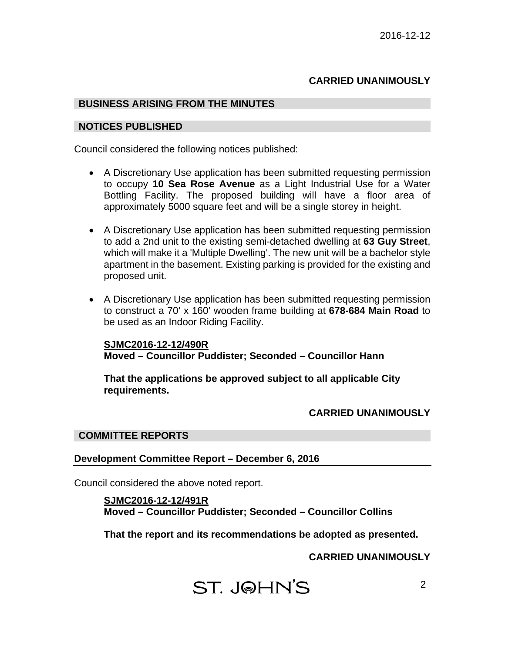# **CARRIED UNANIMOUSLY**

#### **BUSINESS ARISING FROM THE MINUTES**

#### **NOTICES PUBLISHED**

Council considered the following notices published:

- A Discretionary Use application has been submitted requesting permission to occupy **10 Sea Rose Avenue** as a Light Industrial Use for a Water Bottling Facility. The proposed building will have a floor area of approximately 5000 square feet and will be a single storey in height.
- A Discretionary Use application has been submitted requesting permission to add a 2nd unit to the existing semi-detached dwelling at **63 Guy Street**, which will make it a 'Multiple Dwelling'. The new unit will be a bachelor style apartment in the basement. Existing parking is provided for the existing and proposed unit.
- A Discretionary Use application has been submitted requesting permission to construct a 70' x 160' wooden frame building at **678-684 Main Road** to be used as an Indoor Riding Facility.

**SJMC2016-12-12/490R Moved – Councillor Puddister; Seconded – Councillor Hann** 

**That the applications be approved subject to all applicable City requirements.** 

## **CARRIED UNANIMOUSLY**

#### **COMMITTEE REPORTS**

**Development Committee Report – December 6, 2016** 

Council considered the above noted report.

**SJMC2016-12-12/491R Moved – Councillor Puddister; Seconded – Councillor Collins** 

**That the report and its recommendations be adopted as presented.** 

**CARRIED UNANIMOUSLY**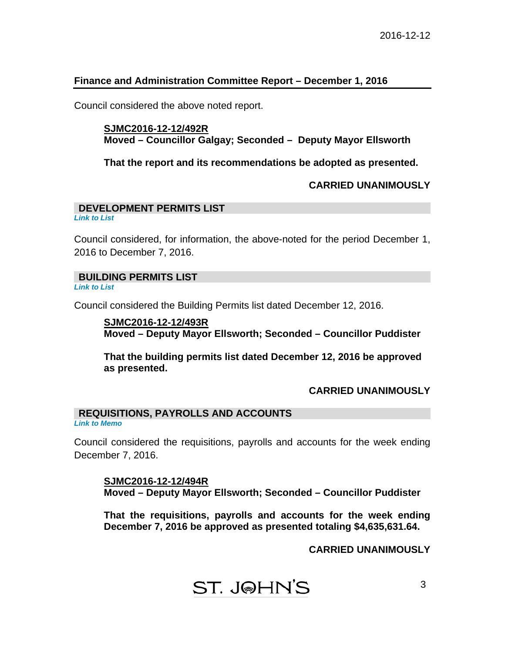#### **Finance and Administration Committee Report – December 1, 2016**

Council considered the above noted report.

#### **SJMC2016-12-12/492R Moved – Councillor Galgay; Seconded – Deputy Mayor Ellsworth**

**That the report and its recommendations be adopted as presented.** 

#### **CARRIED UNANIMOUSLY**

#### **DEVELOPMENT PERMITS LIST**

*[Link to List](#page-7-0)* 

Council considered, for information, the above-noted for the period December 1, 2016 to December 7, 2016.

#### **BUILDING PERMITS LIST**

*[Link to List](#page-8-0)* 

Council considered the Building Permits list dated December 12, 2016.

# **SJMC2016-12-12/493R Moved – Deputy Mayor Ellsworth; Seconded – Councillor Puddister**

**That the building permits list dated December 12, 2016 be approved as presented.** 

# **CARRIED UNANIMOUSLY**

# **REQUISITIONS, PAYROLLS AND ACCOUNTS**

*[Link to Memo](#page-10-0)* 

Council considered the requisitions, payrolls and accounts for the week ending December 7, 2016.

**SJMC2016-12-12/494R Moved – Deputy Mayor Ellsworth; Seconded – Councillor Puddister** 

**That the requisitions, payrolls and accounts for the week ending December 7, 2016 be approved as presented totaling \$4,635,631.64.** 

 **CARRIED UNANIMOUSLY**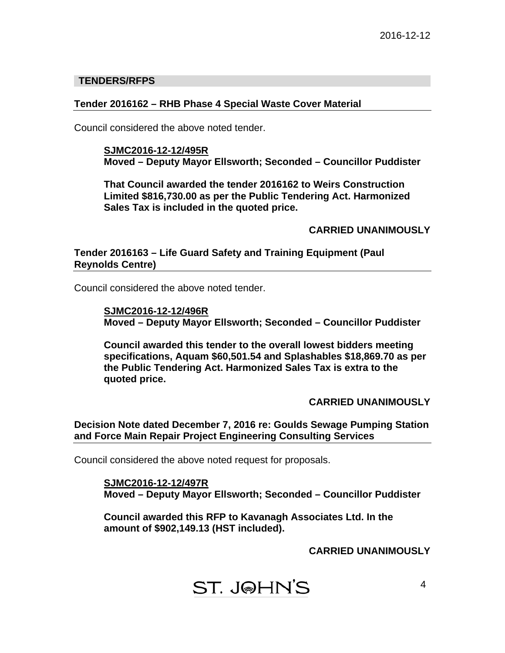#### **TENDERS/RFPS**

#### **Tender 2016162 – RHB Phase 4 Special Waste Cover Material**

Council considered the above noted tender.

**SJMC2016-12-12/495R Moved – Deputy Mayor Ellsworth; Seconded – Councillor Puddister** 

**That Council awarded the tender 2016162 to Weirs Construction Limited \$816,730.00 as per the Public Tendering Act. Harmonized Sales Tax is included in the quoted price.** 

## **CARRIED UNANIMOUSLY**

**Tender 2016163 – Life Guard Safety and Training Equipment (Paul Reynolds Centre)** 

Council considered the above noted tender.

**SJMC2016-12-12/496R Moved – Deputy Mayor Ellsworth; Seconded – Councillor Puddister** 

**Council awarded this tender to the overall lowest bidders meeting specifications, Aquam \$60,501.54 and Splashables \$18,869.70 as per the Public Tendering Act. Harmonized Sales Tax is extra to the quoted price.** 

# **CARRIED UNANIMOUSLY**

**Decision Note dated December 7, 2016 re: Goulds Sewage Pumping Station and Force Main Repair Project Engineering Consulting Services** 

Council considered the above noted request for proposals.

**SJMC2016-12-12/497R Moved – Deputy Mayor Ellsworth; Seconded – Councillor Puddister** 

**Council awarded this RFP to Kavanagh Associates Ltd. In the amount of \$902,149.13 (HST included).** 

**CARRIED UNANIMOUSLY**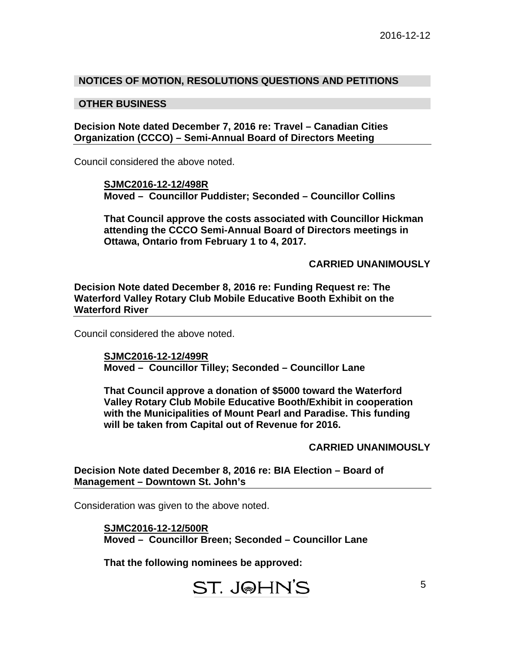#### **NOTICES OF MOTION, RESOLUTIONS QUESTIONS AND PETITIONS**

#### **OTHER BUSINESS**

**Decision Note dated December 7, 2016 re: Travel – Canadian Cities Organization (CCCO) – Semi-Annual Board of Directors Meeting** 

Council considered the above noted.

**SJMC2016-12-12/498R Moved – Councillor Puddister; Seconded – Councillor Collins** 

**That Council approve the costs associated with Councillor Hickman attending the CCCO Semi-Annual Board of Directors meetings in Ottawa, Ontario from February 1 to 4, 2017.** 

**CARRIED UNANIMOUSLY** 

**Decision Note dated December 8, 2016 re: Funding Request re: The Waterford Valley Rotary Club Mobile Educative Booth Exhibit on the Waterford River** 

Council considered the above noted.

**SJMC2016-12-12/499R Moved – Councillor Tilley; Seconded – Councillor Lane** 

**That Council approve a donation of \$5000 toward the Waterford Valley Rotary Club Mobile Educative Booth/Exhibit in cooperation with the Municipalities of Mount Pearl and Paradise. This funding will be taken from Capital out of Revenue for 2016.** 

**CARRIED UNANIMOUSLY** 

**Decision Note dated December 8, 2016 re: BIA Election – Board of Management – Downtown St. John's** 

Consideration was given to the above noted.

**SJMC2016-12-12/500R Moved – Councillor Breen; Seconded – Councillor Lane** 

**That the following nominees be approved:**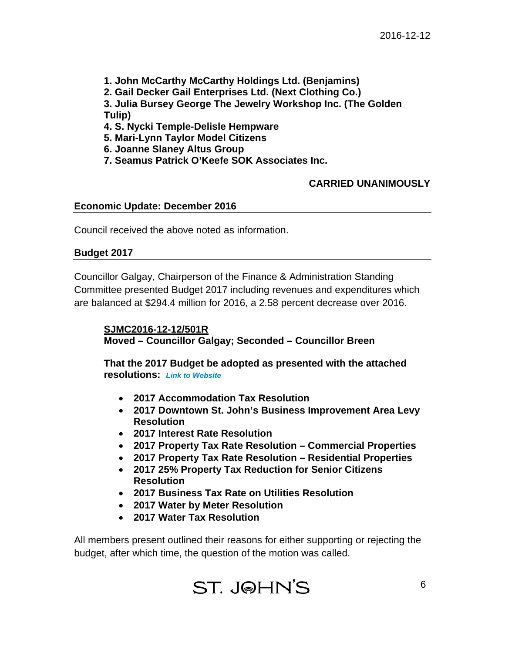- **1. John McCarthy McCarthy Holdings Ltd. (Benjamins)**
- **2. Gail Decker Gail Enterprises Ltd. (Next Clothing Co.)**

**3. Julia Bursey George The Jewelry Workshop Inc. (The Golden Tulip)** 

- **4. S. Nycki Temple-Delisle Hempware**
- **5. Mari-Lynn Taylor Model Citizens**
- **6. Joanne Slaney Altus Group**
- **7. Seamus Patrick O'Keefe SOK Associates Inc.**

# **CARRIED UNANIMOUSLY**

## **Economic Update: December 2016**

Council received the above noted as information.

## **Budget 2017**

Councillor Galgay, Chairperson of the Finance & Administration Standing Committee presented Budget 2017 including revenues and expenditures which are balanced at \$294.4 million for 2016, a 2.58 percent decrease over 2016.

**SJMC2016-12-12/501R Moved – Councillor Galgay; Seconded – Councillor Breen** 

**That the 201[7 Budget be ad](http://www.stjohns.ca/living-st-johns/your-city/budget-information)opted as presented with the attached resolutions:** *Link to Website*

- **2017 Accommodation Tax Resolution**
- **2017 Downtown St. John's Business Improvement Area Levy Resolution**
- **2017 Interest Rate Resolution**
- **2017 Property Tax Rate Resolution Commercial Properties**
- **2017 Property Tax Rate Resolution Residential Properties**
- **2017 25% Property Tax Reduction for Senior Citizens Resolution**
- **2017 Business Tax Rate on Utilities Resolution**
- **2017 Water by Meter Resolution**
- **2017 Water Tax Resolution**

All members present outlined their reasons for either supporting or rejecting the budget, after which time, the question of the motion was called.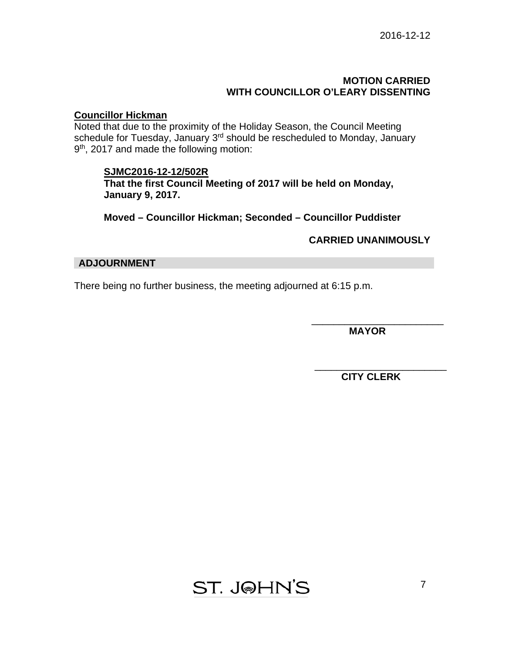#### **MOTION CARRIED WITH COUNCILLOR O'LEARY DISSENTING**

# **Councillor Hickman**

Noted that due to the proximity of the Holiday Season, the Council Meeting schedule for Tuesday, January 3<sup>rd</sup> should be rescheduled to Monday, January 9<sup>th</sup>, 2017 and made the following motion:

#### **SJMC2016-12-12/502R**

**That the first Council Meeting of 2017 will be held on Monday, January 9, 2017.** 

**Moved – Councillor Hickman; Seconded – Councillor Puddister** 

**CARRIED UNANIMOUSLY** 

#### **ADJOURNMENT**

There being no further business, the meeting adjourned at 6:15 p.m.

 **MAYOR** 

\_\_\_\_\_\_\_\_\_\_\_\_\_\_\_\_\_\_\_\_\_\_\_\_

\_\_\_\_\_\_\_\_\_\_\_\_\_\_\_\_\_\_\_\_\_\_\_\_  **CITY CLERK** 

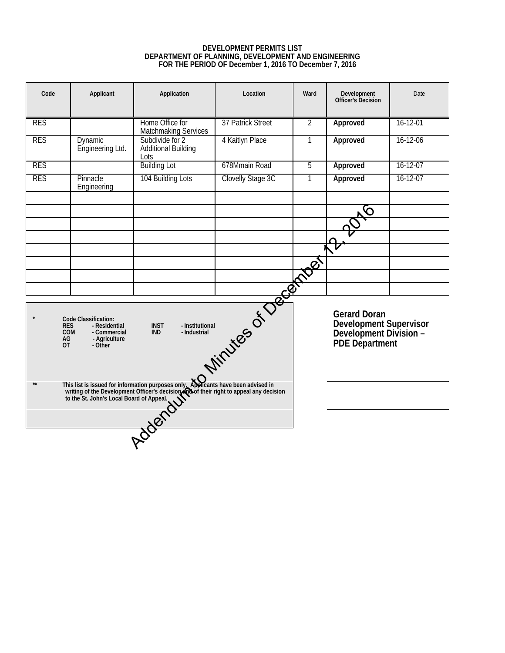#### **DEVELOPMENT PERMITS LIST DEPARTMENT OF PLANNING, DEVELOPMENT AND ENGINEERING FOR THE PERIOD OF December 1, 2016 TO December 7, 2016**

<span id="page-7-0"></span>

| Code                                                                                                                                                                                                                                                                                                                                                                                                                                                       | Applicant                          | Application                                           | Location          | Ward           | Development<br>Officer's Decision                                                         | Date           |
|------------------------------------------------------------------------------------------------------------------------------------------------------------------------------------------------------------------------------------------------------------------------------------------------------------------------------------------------------------------------------------------------------------------------------------------------------------|------------------------------------|-------------------------------------------------------|-------------------|----------------|-------------------------------------------------------------------------------------------|----------------|
| <b>RES</b>                                                                                                                                                                                                                                                                                                                                                                                                                                                 |                                    | Home Office for<br><b>Matchmaking Services</b>        | 37 Patrick Street | $\overline{2}$ | Approved                                                                                  | 16-12-01       |
| <b>RES</b>                                                                                                                                                                                                                                                                                                                                                                                                                                                 | <b>Dynamic</b><br>Engineering Ltd. | Subdivide for 2<br><b>Additional Building</b><br>Lots | 4 Kaitlyn Place   | 1              | Approved                                                                                  | 16-12-06       |
| <b>RES</b>                                                                                                                                                                                                                                                                                                                                                                                                                                                 |                                    | <b>Building Lot</b>                                   | 678Mmain Road     | 5              | Approved                                                                                  | $16 - 12 - 07$ |
| <b>RES</b>                                                                                                                                                                                                                                                                                                                                                                                                                                                 | Pinnacle<br>Engineering            | 104 Building Lots                                     | Clovelly Stage 3C | 1              | Approved                                                                                  | $16 - 12 - 07$ |
|                                                                                                                                                                                                                                                                                                                                                                                                                                                            |                                    |                                                       |                   |                |                                                                                           |                |
|                                                                                                                                                                                                                                                                                                                                                                                                                                                            |                                    |                                                       |                   |                |                                                                                           |                |
|                                                                                                                                                                                                                                                                                                                                                                                                                                                            |                                    |                                                       |                   |                |                                                                                           |                |
|                                                                                                                                                                                                                                                                                                                                                                                                                                                            |                                    |                                                       |                   |                |                                                                                           |                |
|                                                                                                                                                                                                                                                                                                                                                                                                                                                            |                                    |                                                       |                   |                |                                                                                           |                |
|                                                                                                                                                                                                                                                                                                                                                                                                                                                            |                                    |                                                       |                   |                |                                                                                           |                |
| Juintes of December 1<br><b>Code Classification:</b><br><b>INST</b><br>- Institutional<br><b>RES</b><br>- Residential<br><b>COM</b><br>- Commercial<br><b>IND</b><br>- Industrial<br>AG<br>- Agriculture<br><b>OT</b><br>- Other<br>This list is issued for information purposes only. Applicants have been advised in<br>writing of the Development Officer's decision and their right to appeal any decision<br>to the St. John's Local Board of Appeal. |                                    |                                                       |                   |                | <b>Gerard Doran</b><br>Development Supervisor<br>Development Division -<br>PDE Department |                |
| $**$                                                                                                                                                                                                                                                                                                                                                                                                                                                       |                                    |                                                       |                   |                |                                                                                           |                |
|                                                                                                                                                                                                                                                                                                                                                                                                                                                            |                                    | <b>DOCKOUT</b>                                        |                   |                |                                                                                           |                |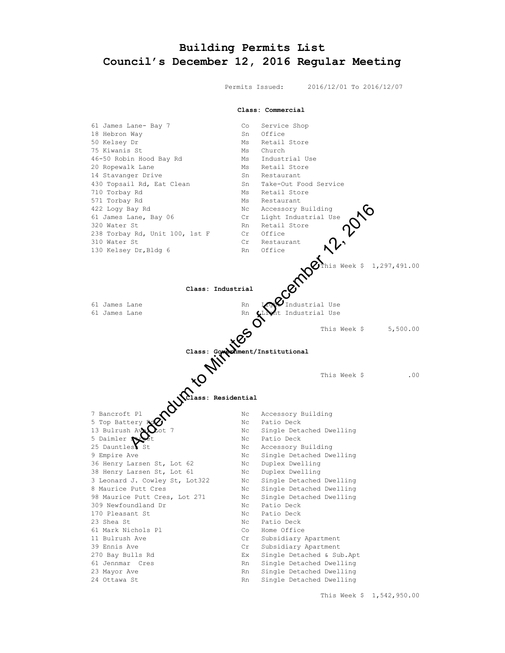## <span id="page-8-0"></span>**Building Permits List Council's December 12, 2016 Regular Meeting**

Permits Issued: 2016/12/01 To 2016/12/07

#### **Class: Commercial**

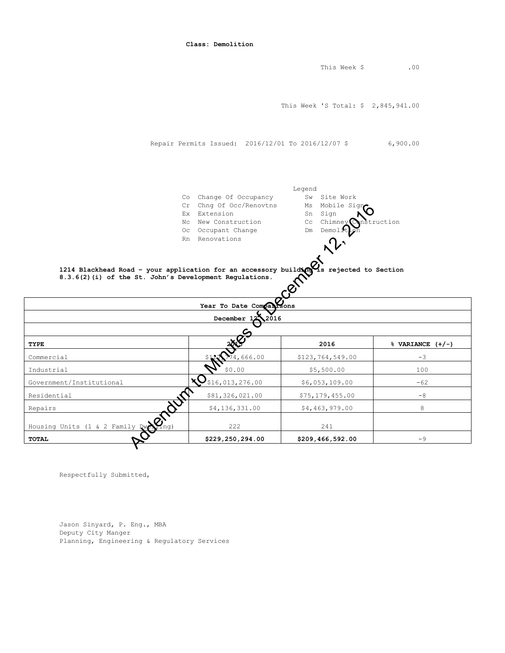|                                                                                                      | Class: Demolition                                                                                                                                                                |                                               |                       |
|------------------------------------------------------------------------------------------------------|----------------------------------------------------------------------------------------------------------------------------------------------------------------------------------|-----------------------------------------------|-----------------------|
|                                                                                                      |                                                                                                                                                                                  | This Week \$                                  | .00                   |
|                                                                                                      |                                                                                                                                                                                  | This Week 'S Total: \$ 2,845,941.00           |                       |
|                                                                                                      | Repair Permits Issued: 2016/12/01 To 2016/12/07 \$                                                                                                                               |                                               | 6,900.00              |
|                                                                                                      | Co Change Of Occupancy                                                                                                                                                           | Legend<br>Sw Site Work                        |                       |
|                                                                                                      | Cr Chng Of Occ/Renovtns<br>Ex Extension<br>Nc New Construction                                                                                                                   | Ms Mobile Sign<br>Sn<br>Sign<br>Cc<br>Chimney | truction              |
|                                                                                                      | Oc Occupant Change                                                                                                                                                               | Dm<br>Demol                                   |                       |
|                                                                                                      |                                                                                                                                                                                  |                                               |                       |
|                                                                                                      |                                                                                                                                                                                  |                                               |                       |
|                                                                                                      | 1214 Blackhead Road - your application for an accessory building $\frac{1}{2}$ rejected to Section 8.3.6(2) (i) of the St. John's Development Regulations.<br>2016<br>December 1 |                                               |                       |
|                                                                                                      |                                                                                                                                                                                  | 2016                                          | $\%$ VARIANCE $(+/-)$ |
|                                                                                                      | 4,666.00                                                                                                                                                                         | \$123,764,549.00                              | $-3$                  |
|                                                                                                      | \$0.00                                                                                                                                                                           | \$5,500.00                                    | 100                   |
|                                                                                                      | \$16,013,276.00                                                                                                                                                                  | \$6,053,109.00                                | $-62$                 |
|                                                                                                      | \$81,326,021.00                                                                                                                                                                  | \$75, 179, 455.00                             | $-8$                  |
|                                                                                                      | \$4,136,331.00                                                                                                                                                                   | \$4,463,979.00                                | 8                     |
| TYPE<br>Commercial<br>Industrial<br>Government/Institutional<br>Housing Units (1 & 2 Family Du Cong) | 222                                                                                                                                                                              | 241                                           |                       |

Respectfully Submitted,

Jason Sinyard, P. Eng., MBA Deputy City Manger Planning, Engineering & Regulatory Services